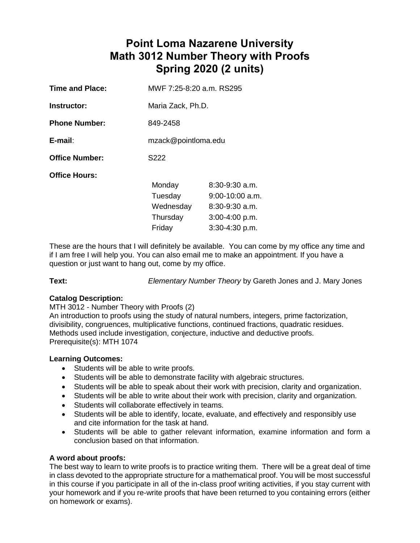# **Point Loma Nazarene University Math 3012 Number Theory with Proofs Spring 2020 (2 units)**

| <b>Time and Place:</b> | MWF 7:25-8:20 a.m. RS295 |                   |  |  |
|------------------------|--------------------------|-------------------|--|--|
| Instructor:            | Maria Zack, Ph.D.        |                   |  |  |
| <b>Phone Number:</b>   | 849-2458                 |                   |  |  |
| E-mail:                | mzack@pointloma.edu      |                   |  |  |
| <b>Office Number:</b>  | S222                     |                   |  |  |
| <b>Office Hours:</b>   |                          |                   |  |  |
|                        | Monday                   | $8:30-9:30$ a.m.  |  |  |
|                        | Tuesday                  | $9:00-10:00$ a.m. |  |  |
|                        | Wednesday                | $8:30-9:30$ a.m.  |  |  |
|                        | Thursday                 | $3:00-4:00 p.m.$  |  |  |
|                        | Friday                   | 3:30-4:30 p.m.    |  |  |

These are the hours that I will definitely be available. You can come by my office any time and if I am free I will help you. You can also email me to make an appointment. If you have a question or just want to hang out, come by my office.

**Text:** *Elementary Number Theory* by Gareth Jones and J. Mary Jones

# **Catalog Description:**

MTH 3012 - Number Theory with Proofs (2)

An introduction to proofs using the study of natural numbers, integers, prime factorization, divisibility, congruences, multiplicative functions, continued fractions, quadratic residues. Methods used include investigation, conjecture, inductive and deductive proofs. Prerequisite(s): MTH 1074

# **Learning Outcomes:**

- Students will be able to write proofs.
- Students will be able to demonstrate facility with algebraic structures.
- Students will be able to speak about their work with precision, clarity and organization.
- Students will be able to write about their work with precision, clarity and organization.
- Students will collaborate effectively in teams.
- Students will be able to identify, locate, evaluate, and effectively and responsibly use and cite information for the task at hand.
- Students will be able to gather relevant information, examine information and form a conclusion based on that information.

# **A word about proofs:**

The best way to learn to write proofs is to practice writing them. There will be a great deal of time in class devoted to the appropriate structure for a mathematical proof. You will be most successful in this course if you participate in all of the in-class proof writing activities, if you stay current with your homework and if you re-write proofs that have been returned to you containing errors (either on homework or exams).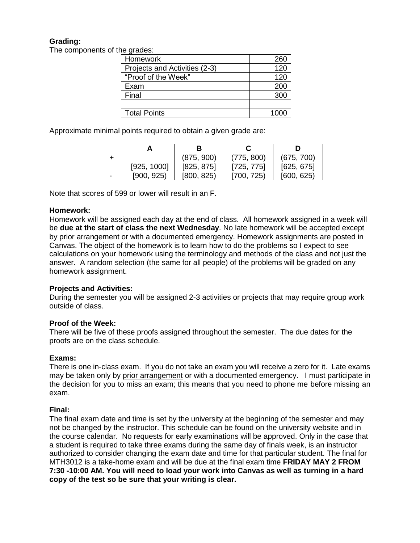# **Grading:**

The components of the grades:

| Homework                      | 260  |
|-------------------------------|------|
| Projects and Activities (2-3) | 120  |
| "Proof of the Week"           | 120  |
| Exam                          | 200  |
| Final                         | 300  |
|                               |      |
| <b>Total Points</b>           | 1000 |

Approximate minimal points required to obtain a given grade are:

|             | (875, 900) | (775, 800) | (675, 700) |
|-------------|------------|------------|------------|
| [925, 1000] | [825, 875] | [725, 775] | [625, 675] |
| [900, 925)  | [800, 825] | [700, 725] | [600, 625] |

Note that scores of 599 or lower will result in an F.

#### **Homework:**

Homework will be assigned each day at the end of class. All homework assigned in a week will be **due at the start of class the next Wednesday**. No late homework will be accepted except by prior arrangement or with a documented emergency. Homework assignments are posted in Canvas. The object of the homework is to learn how to do the problems so I expect to see calculations on your homework using the terminology and methods of the class and not just the answer. A random selection (the same for all people) of the problems will be graded on any homework assignment.

#### **Projects and Activities:**

During the semester you will be assigned 2-3 activities or projects that may require group work outside of class.

#### **Proof of the Week:**

There will be five of these proofs assigned throughout the semester. The due dates for the proofs are on the class schedule.

#### **Exams:**

There is one in-class exam. If you do not take an exam you will receive a zero for it. Late exams may be taken only by prior arrangement or with a documented emergency. I must participate in the decision for you to miss an exam; this means that you need to phone me before missing an exam.

#### **Final:**

The final exam date and time is set by the university at the beginning of the semester and may not be changed by the instructor. This schedule can be found on the university website and in the course calendar. No requests for early examinations will be approved. Only in the case that a student is required to take three exams during the same day of finals week, is an instructor authorized to consider changing the exam date and time for that particular student. The final for MTH3012 is a take-home exam and will be due at the final exam time **FRIDAY MAY 2 FROM 7:30 -10:00 AM. You will need to load your work into Canvas as well as turning in a hard copy of the test so be sure that your writing is clear.**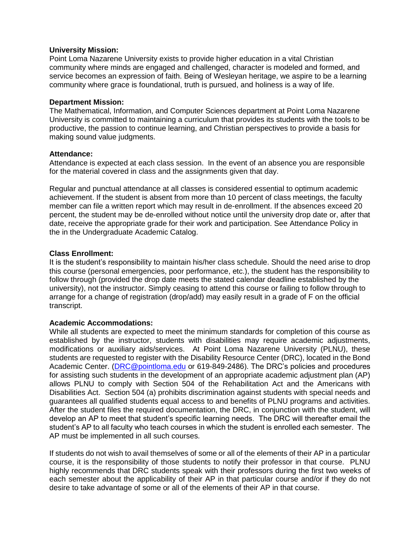#### **University Mission:**

Point Loma Nazarene University exists to provide higher education in a vital Christian community where minds are engaged and challenged, character is modeled and formed, and service becomes an expression of faith. Being of Wesleyan heritage, we aspire to be a learning community where grace is foundational, truth is pursued, and holiness is a way of life.

#### **Department Mission:**

The Mathematical, Information, and Computer Sciences department at Point Loma Nazarene University is committed to maintaining a curriculum that provides its students with the tools to be productive, the passion to continue learning, and Christian perspectives to provide a basis for making sound value judgments.

## **Attendance:**

Attendance is expected at each class session. In the event of an absence you are responsible for the material covered in class and the assignments given that day.

Regular and punctual attendance at all classes is considered essential to optimum academic achievement. If the student is absent from more than 10 percent of class meetings, the faculty member can file a written report which may result in de-enrollment. If the absences exceed 20 percent, the student may be de-enrolled without notice until the university drop date or, after that date, receive the appropriate grade for their work and participation. See Attendance Policy in the in the Undergraduate Academic Catalog.

## **Class Enrollment:**

It is the student's responsibility to maintain his/her class schedule. Should the need arise to drop this course (personal emergencies, poor performance, etc.), the student has the responsibility to follow through (provided the drop date meets the stated calendar deadline established by the university), not the instructor. Simply ceasing to attend this course or failing to follow through to arrange for a change of registration (drop/add) may easily result in a grade of F on the official transcript.

# **Academic Accommodations:**

While all students are expected to meet the minimum standards for completion of this course as established by the instructor, students with disabilities may require academic adjustments, modifications or auxiliary aids/services. At Point Loma Nazarene University (PLNU), these students are requested to register with the Disability Resource Center (DRC), located in the Bond Academic Center. [\(DRC@pointloma.edu](mailto:DRC@pointloma.edu) or 619-849-2486). The DRC's policies and procedures for assisting such students in the development of an appropriate academic adjustment plan (AP) allows PLNU to comply with Section 504 of the Rehabilitation Act and the Americans with Disabilities Act. Section 504 (a) prohibits discrimination against students with special needs and guarantees all qualified students equal access to and benefits of PLNU programs and activities. After the student files the required documentation, the DRC, in conjunction with the student, will develop an AP to meet that student's specific learning needs. The DRC will thereafter email the student's AP to all faculty who teach courses in which the student is enrolled each semester. The AP must be implemented in all such courses.

If students do not wish to avail themselves of some or all of the elements of their AP in a particular course, it is the responsibility of those students to notify their professor in that course. PLNU highly recommends that DRC students speak with their professors during the first two weeks of each semester about the applicability of their AP in that particular course and/or if they do not desire to take advantage of some or all of the elements of their AP in that course.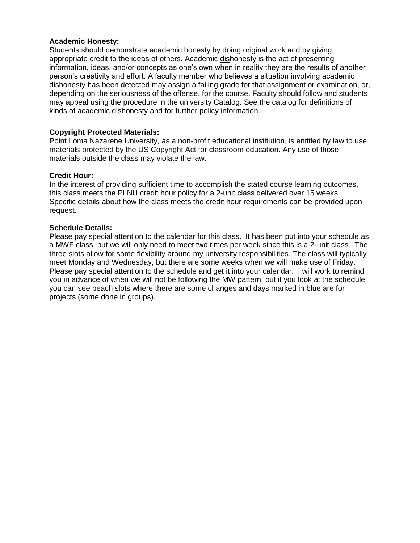# **Academic Honesty:**

Students should demonstrate academic honesty by doing original work and by giving appropriate credit to the ideas of others. Academic dishonesty is the act of presenting information, ideas, and/or concepts as one's own when in reality they are the results of another person's creativity and effort. A faculty member who believes a situation involving academic dishonesty has been detected may assign a failing grade for that assignment or examination, or, depending on the seriousness of the offense, for the course. Faculty should follow and students may appeal using the procedure in the university Catalog. See the catalog for definitions of kinds of academic dishonesty and for further policy information.

# **Copyright Protected Materials:**

Point Loma Nazarene University, as a non-profit educational institution, is entitled by law to use materials protected by the US Copyright Act for classroom education. Any use of those materials outside the class may violate the law.

## **Credit Hour:**

In the interest of providing sufficient time to accomplish the stated course learning outcomes, this class meets the PLNU credit hour policy for a 2-unit class delivered over 15 weeks. Specific details about how the class meets the credit hour requirements can be provided upon request.

#### **Schedule Details:**

Please pay special attention to the calendar for this class. It has been put into your schedule as a MWF class, but we will only need to meet two times per week since this is a 2-unit class. The three slots allow for some flexibility around my university responsibilities. The class will typically meet Monday and Wednesday, but there are some weeks when we will make use of Friday. Please pay special attention to the schedule and get it into your calendar. I will work to remind you in advance of when we will not be following the MW pattern, but if you look at the schedule you can see peach slots where there are some changes and days marked in blue are for projects (some done in groups).